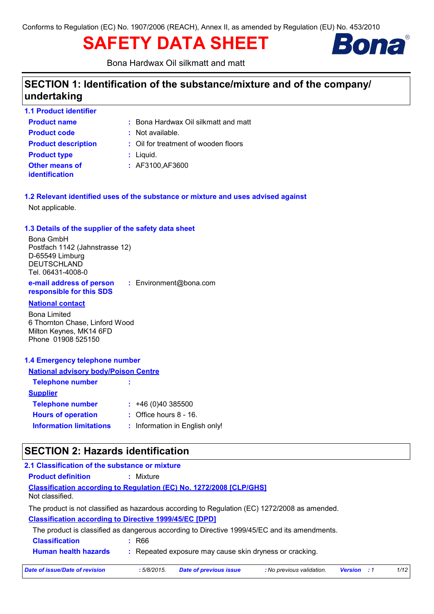# **SAFETY DATA SHEET**



Bona Hardwax Oil silkmatt and matt

## **SECTION 1: Identification of the substance/mixture and of the company/ undertaking**

| <b>1.1 Product identifier</b> |                                      |
|-------------------------------|--------------------------------------|
| <b>Product name</b>           | : Bona Hardwax Oil silkmatt and matt |
| <b>Product code</b>           | : Not available.                     |
| <b>Product description</b>    | : Oil for treatment of wooden floors |
| <b>Product type</b>           | $:$ Liquid.                          |
| <b>Other means of</b>         | : AF3100, AF3600                     |
| <b>identification</b>         |                                      |

**1.2 Relevant identified uses of the substance or mixture and uses advised against** Not applicable.

#### **1.3 Details of the supplier of the safety data sheet**

Bona GmbH Postfach 1142 (Jahnstrasse 12) D-65549 Limburg DEUTSCHLAND Tel. 06431-4008-0

**e-mail address of person responsible for this SDS :** Environment@bona.com

#### **National contact**

Bona Limited 6 Thornton Chase, Linford Wood Milton Keynes, MK14 6FD Phone 01908 525150

#### **1.4 Emergency telephone number**

| <b>National advisory body/Poison Centre</b> |                                |
|---------------------------------------------|--------------------------------|
| <b>Telephone number</b>                     | ÷                              |
| <u>Supplier</u>                             |                                |
| <b>Telephone number</b>                     | $: +46(0)40385500$             |
| <b>Hours of operation</b>                   | $:$ Office hours 8 - 16.       |
| <b>Information limitations</b>              | : Information in English only! |

## **SECTION 2: Hazards identification**

| 2.1 Classification of the substance or mixture                                                |            |                                                         |                           |                    |      |
|-----------------------------------------------------------------------------------------------|------------|---------------------------------------------------------|---------------------------|--------------------|------|
| <b>Product definition</b>                                                                     | : Mixture  |                                                         |                           |                    |      |
| <b>Classification according to Regulation (EC) No. 1272/2008 [CLP/GHS]</b><br>Not classified. |            |                                                         |                           |                    |      |
| The product is not classified as hazardous according to Regulation (EC) 1272/2008 as amended. |            |                                                         |                           |                    |      |
| <b>Classification according to Directive 1999/45/EC [DPD]</b>                                 |            |                                                         |                           |                    |      |
| The product is classified as dangerous according to Directive 1999/45/EC and its amendments.  |            |                                                         |                           |                    |      |
| <b>Classification</b>                                                                         | : R66      |                                                         |                           |                    |      |
| <b>Human health hazards</b>                                                                   |            | : Repeated exposure may cause skin dryness or cracking. |                           |                    |      |
| Date of issue/Date of revision                                                                | :5/8/2015. | <b>Date of previous issue</b>                           | : No previous validation. | <b>Version</b> : 1 | 1/12 |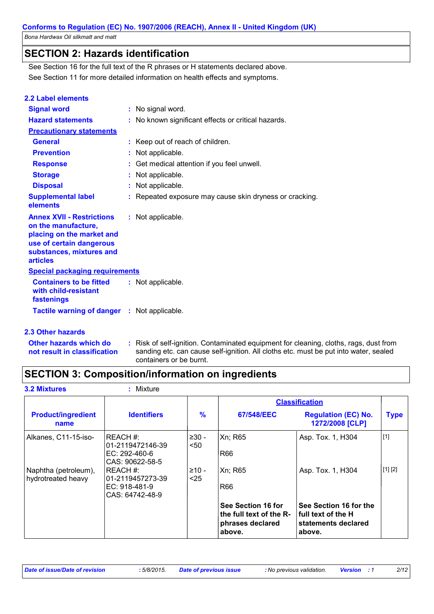## **SECTION 2: Hazards identification**

See Section 11 for more detailed information on health effects and symptoms. See Section 16 for the full text of the R phrases or H statements declared above.

| <b>2.2 Label elements</b>                                                                                                                                       |                                                       |
|-----------------------------------------------------------------------------------------------------------------------------------------------------------------|-------------------------------------------------------|
| <b>Signal word</b>                                                                                                                                              | : No signal word.                                     |
| <b>Hazard statements</b>                                                                                                                                        | : No known significant effects or critical hazards.   |
| <b>Precautionary statements</b>                                                                                                                                 |                                                       |
| <b>General</b>                                                                                                                                                  | : Keep out of reach of children.                      |
| <b>Prevention</b>                                                                                                                                               | Not applicable.                                       |
| <b>Response</b>                                                                                                                                                 | Get medical attention if you feel unwell.             |
| <b>Storage</b>                                                                                                                                                  | Not applicable.                                       |
| <b>Disposal</b>                                                                                                                                                 | Not applicable.                                       |
| <b>Supplemental label</b><br>elements                                                                                                                           | Repeated exposure may cause skin dryness or cracking. |
| <b>Annex XVII - Restrictions</b><br>on the manufacture,<br>placing on the market and<br>use of certain dangerous<br>substances, mixtures and<br><b>articles</b> | : Not applicable.                                     |
| <b>Special packaging requirements</b>                                                                                                                           |                                                       |
| <b>Containers to be fitted</b><br>with child-resistant<br>fastenings                                                                                            | : Not applicable.                                     |
| <b>Tactile warning of danger : Not applicable.</b>                                                                                                              |                                                       |

#### **2.3 Other hazards**

**Other hazards which do : not result in classification** Risk of self-ignition. Contaminated equipment for cleaning, cloths, rags, dust from sanding etc. can cause self-ignition. All cloths etc. must be put into water, sealed containers or be burnt.

## **SECTION 3: Composition/information on ingredients**

| <b>3.2 Mixtures</b>                        | : Mixture                          |                |                                                                             |                                                                                 |             |
|--------------------------------------------|------------------------------------|----------------|-----------------------------------------------------------------------------|---------------------------------------------------------------------------------|-------------|
|                                            |                                    |                |                                                                             | <b>Classification</b>                                                           |             |
| <b>Product/ingredient</b><br>name          | <b>Identifiers</b>                 | $\frac{9}{6}$  | 67/548/EEC                                                                  | <b>Regulation (EC) No.</b><br>1272/2008 [CLP]                                   | <b>Type</b> |
| Alkanes, C11-15-iso-                       | REACH #:<br>01-2119472146-39       | $≥30-$<br>$50$ | Xn; R65                                                                     | Asp. Tox. 1, H304                                                               | $[1]$       |
|                                            | $EC: 292-460-6$<br>CAS: 90622-58-5 |                | <b>R66</b>                                                                  |                                                                                 |             |
| Naphtha (petroleum),<br>hydrotreated heavy | REACH #:<br>101-2119457273-39      | $≥10-$<br>$25$ | Xn; R65                                                                     | Asp. Tox. 1, H304                                                               | [1] [2]     |
|                                            | EC: 918-481-9<br>CAS: 64742-48-9   |                | <b>R66</b>                                                                  |                                                                                 |             |
|                                            |                                    |                | See Section 16 for<br>the full text of the R-<br>phrases declared<br>above. | See Section 16 for the<br>l full text of the H<br>statements declared<br>above. |             |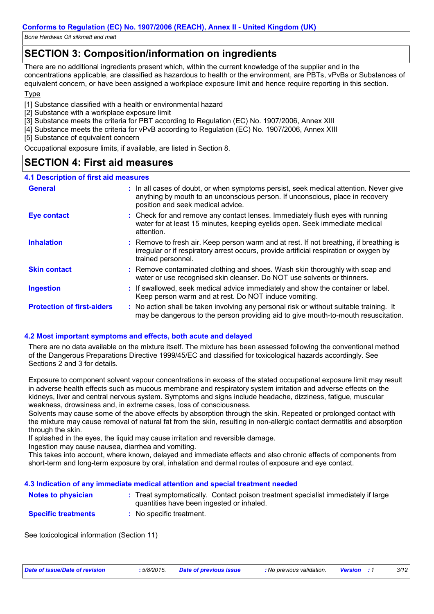## **SECTION 3: Composition/information on ingredients**

There are no additional ingredients present which, within the current knowledge of the supplier and in the concentrations applicable, are classified as hazardous to health or the environment, are PBTs, vPvBs or Substances of equivalent concern, or have been assigned a workplace exposure limit and hence require reporting in this section.

#### **T**<sub>vpe</sub>

[1] Substance classified with a health or environmental hazard

[2] Substance with a workplace exposure limit

- [3] Substance meets the criteria for PBT according to Regulation (EC) No. 1907/2006, Annex XIII
- [4] Substance meets the criteria for vPvB according to Regulation (EC) No. 1907/2006, Annex XIII

[5] Substance of equivalent concern

Occupational exposure limits, if available, are listed in Section 8.

### **SECTION 4: First aid measures**

| <b>4.1 Description of first aid measures</b> |                                                                                                                                                                                                             |
|----------------------------------------------|-------------------------------------------------------------------------------------------------------------------------------------------------------------------------------------------------------------|
| <b>General</b>                               | : In all cases of doubt, or when symptoms persist, seek medical attention. Never give<br>anything by mouth to an unconscious person. If unconscious, place in recovery<br>position and seek medical advice. |
| <b>Eye contact</b>                           | : Check for and remove any contact lenses. Immediately flush eyes with running<br>water for at least 15 minutes, keeping eyelids open. Seek immediate medical<br>attention.                                 |
| <b>Inhalation</b>                            | : Remove to fresh air. Keep person warm and at rest. If not breathing, if breathing is<br>irregular or if respiratory arrest occurs, provide artificial respiration or oxygen by<br>trained personnel.      |
| <b>Skin contact</b>                          | : Remove contaminated clothing and shoes. Wash skin thoroughly with soap and<br>water or use recognised skin cleanser. Do NOT use solvents or thinners.                                                     |
| <b>Ingestion</b>                             | : If swallowed, seek medical advice immediately and show the container or label.<br>Keep person warm and at rest. Do NOT induce vomiting.                                                                   |
| <b>Protection of first-aiders</b>            | : No action shall be taken involving any personal risk or without suitable training. It<br>may be dangerous to the person providing aid to give mouth-to-mouth resuscitation.                               |

#### **4.2 Most important symptoms and effects, both acute and delayed**

There are no data available on the mixture itself. The mixture has been assessed following the conventional method of the Dangerous Preparations Directive 1999/45/EC and classified for toxicological hazards accordingly. See Sections 2 and 3 for details.

Exposure to component solvent vapour concentrations in excess of the stated occupational exposure limit may result in adverse health effects such as mucous membrane and respiratory system irritation and adverse effects on the kidneys, liver and central nervous system. Symptoms and signs include headache, dizziness, fatigue, muscular weakness, drowsiness and, in extreme cases, loss of consciousness.

Solvents may cause some of the above effects by absorption through the skin. Repeated or prolonged contact with the mixture may cause removal of natural fat from the skin, resulting in non-allergic contact dermatitis and absorption through the skin.

If splashed in the eyes, the liquid may cause irritation and reversible damage.

Ingestion may cause nausea, diarrhea and vomiting.

This takes into account, where known, delayed and immediate effects and also chronic effects of components from short-term and long-term exposure by oral, inhalation and dermal routes of exposure and eye contact.

#### **4.3 Indication of any immediate medical attention and special treatment needed**

| Notes to physician         | : Treat symptomatically. Contact poison treatment specialist immediately if large<br>quantities have been ingested or inhaled. |
|----------------------------|--------------------------------------------------------------------------------------------------------------------------------|
| <b>Specific treatments</b> | : No specific treatment.                                                                                                       |

See toxicological information (Section 11)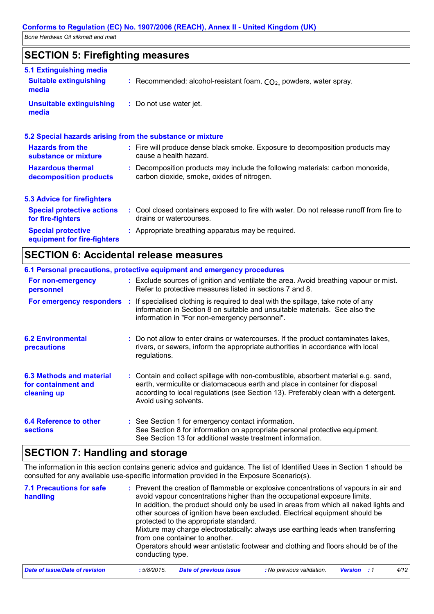## **SECTION 5: Firefighting measures**

| 5.1 Extinguishing media                                   |                                                                                                                              |
|-----------------------------------------------------------|------------------------------------------------------------------------------------------------------------------------------|
| <b>Suitable extinguishing</b><br>media                    | : Recommended: alcohol-resistant foam, $CO2$ , powders, water spray.                                                         |
| <b>Unsuitable extinguishing</b><br>media                  | : Do not use water jet.                                                                                                      |
| 5.2 Special hazards arising from the substance or mixture |                                                                                                                              |
| <b>Hazards from the</b><br>substance or mixture           | : Fire will produce dense black smoke. Exposure to decomposition products may<br>cause a health hazard.                      |
| <b>Hazardous thermal</b><br>decomposition products        | : Decomposition products may include the following materials: carbon monoxide,<br>carbon dioxide, smoke, oxides of nitrogen. |
| <b>5.3 Advice for firefighters</b>                        |                                                                                                                              |
| <b>Special protective actions</b><br>for fire-fighters    | : Cool closed containers exposed to fire with water. Do not release runoff from fire to<br>drains or watercourses.           |
| <b>Special protective</b><br>equipment for fire-fighters  | : Appropriate breathing apparatus may be required.                                                                           |

## **SECTION 6: Accidental release measures**

|                                                                | 6.1 Personal precautions, protective equipment and emergency procedures                                                                                                                                                                                                            |
|----------------------------------------------------------------|------------------------------------------------------------------------------------------------------------------------------------------------------------------------------------------------------------------------------------------------------------------------------------|
| For non-emergency<br>personnel                                 | : Exclude sources of ignition and ventilate the area. Avoid breathing vapour or mist.<br>Refer to protective measures listed in sections 7 and 8.                                                                                                                                  |
| For emergency responders :                                     | If specialised clothing is required to deal with the spillage, take note of any<br>information in Section 8 on suitable and unsuitable materials. See also the<br>information in "For non-emergency personnel".                                                                    |
| <b>6.2 Environmental</b><br><b>precautions</b>                 | : Do not allow to enter drains or watercourses. If the product contaminates lakes,<br>rivers, or sewers, inform the appropriate authorities in accordance with local<br>regulations.                                                                                               |
| 6.3 Methods and material<br>for containment and<br>cleaning up | : Contain and collect spillage with non-combustible, absorbent material e.g. sand,<br>earth, vermiculite or diatomaceous earth and place in container for disposal<br>according to local regulations (see Section 13). Preferably clean with a detergent.<br>Avoid using solvents. |
| 6.4 Reference to other<br><b>sections</b>                      | : See Section 1 for emergency contact information.<br>See Section 8 for information on appropriate personal protective equipment.<br>See Section 13 for additional waste treatment information.                                                                                    |

## **SECTION 7: Handling and storage**

The information in this section contains generic advice and guidance. The list of Identified Uses in Section 1 should be consulted for any available use-specific information provided in the Exposure Scenario(s).

| <b>7.1 Precautions for safe</b><br>handling | conducting type. | protected to the appropriate standard.<br>from one container to another. | : Prevent the creation of flammable or explosive concentrations of vapours in air and<br>avoid vapour concentrations higher than the occupational exposure limits.<br>In addition, the product should only be used in areas from which all naked lights and<br>other sources of ignition have been excluded. Electrical equipment should be<br>Mixture may charge electrostatically: always use earthing leads when transferring<br>Operators should wear antistatic footwear and clothing and floors should be of the |                    |      |
|---------------------------------------------|------------------|--------------------------------------------------------------------------|------------------------------------------------------------------------------------------------------------------------------------------------------------------------------------------------------------------------------------------------------------------------------------------------------------------------------------------------------------------------------------------------------------------------------------------------------------------------------------------------------------------------|--------------------|------|
| Date of issue/Date of revision              | :5/8/2015.       | <b>Date of previous issue</b>                                            | : No previous validation.                                                                                                                                                                                                                                                                                                                                                                                                                                                                                              | <b>Version</b> : 1 | 4/12 |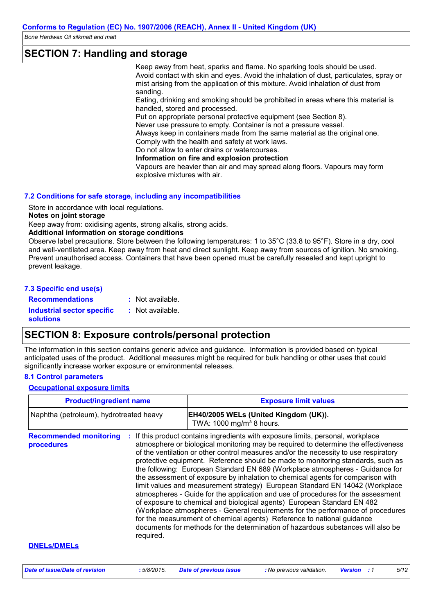### **SECTION 7: Handling and storage**

Keep away from heat, sparks and flame. No sparking tools should be used. Avoid contact with skin and eyes. Avoid the inhalation of dust, particulates, spray or mist arising from the application of this mixture. Avoid inhalation of dust from sanding.

Eating, drinking and smoking should be prohibited in areas where this material is handled, stored and processed.

Put on appropriate personal protective equipment (see Section 8).

Never use pressure to empty. Container is not a pressure vessel.

Always keep in containers made from the same material as the original one. Comply with the health and safety at work laws.

Do not allow to enter drains or watercourses.

**Information on fire and explosion protection**

Vapours are heavier than air and may spread along floors. Vapours may form explosive mixtures with air.

#### **7.2 Conditions for safe storage, including any incompatibilities**

Store in accordance with local regulations.

#### **Notes on joint storage**

Keep away from: oxidising agents, strong alkalis, strong acids.

#### **Additional information on storage conditions**

Observe label precautions. Store between the following temperatures: 1 to 35°C (33.8 to 95°F). Store in a dry, cool and well-ventilated area. Keep away from heat and direct sunlight. Keep away from sources of ignition. No smoking. Prevent unauthorised access. Containers that have been opened must be carefully resealed and kept upright to prevent leakage.

#### **7.3 Specific end use(s)**

**Recommendations : Industrial sector specific : solutions** : Not available. : Not available.

### **SECTION 8: Exposure controls/personal protection**

The information in this section contains generic advice and guidance. Information is provided based on typical anticipated uses of the product. Additional measures might be required for bulk handling or other uses that could significantly increase worker exposure or environmental releases.

#### **8.1 Control parameters**

#### **Occupational exposure limits**

| <b>Product/ingredient name</b>                                | <b>Exposure limit values</b>                                                                                                                                                                                                                                                                                                                                                                                                                                                                                                                                                                                                                                                                                                                                                                                                                                                                                                                                                                                        |
|---------------------------------------------------------------|---------------------------------------------------------------------------------------------------------------------------------------------------------------------------------------------------------------------------------------------------------------------------------------------------------------------------------------------------------------------------------------------------------------------------------------------------------------------------------------------------------------------------------------------------------------------------------------------------------------------------------------------------------------------------------------------------------------------------------------------------------------------------------------------------------------------------------------------------------------------------------------------------------------------------------------------------------------------------------------------------------------------|
| Naphtha (petroleum), hydrotreated heavy                       | EH40/2005 WELs (United Kingdom (UK)).<br>TWA: 1000 mg/m <sup>3</sup> 8 hours.                                                                                                                                                                                                                                                                                                                                                                                                                                                                                                                                                                                                                                                                                                                                                                                                                                                                                                                                       |
| <b>Recommended monitoring</b><br>÷<br>procedures<br>required. | If this product contains ingredients with exposure limits, personal, workplace<br>atmosphere or biological monitoring may be required to determine the effectiveness<br>of the ventilation or other control measures and/or the necessity to use respiratory<br>protective equipment. Reference should be made to monitoring standards, such as<br>the following: European Standard EN 689 (Workplace atmospheres - Guidance for<br>the assessment of exposure by inhalation to chemical agents for comparison with<br>limit values and measurement strategy) European Standard EN 14042 (Workplace<br>atmospheres - Guide for the application and use of procedures for the assessment<br>of exposure to chemical and biological agents) European Standard EN 482<br>(Workplace atmospheres - General requirements for the performance of procedures<br>for the measurement of chemical agents) Reference to national guidance<br>documents for methods for the determination of hazardous substances will also be |
| <b>DNELS/DMELS</b>                                            |                                                                                                                                                                                                                                                                                                                                                                                                                                                                                                                                                                                                                                                                                                                                                                                                                                                                                                                                                                                                                     |

*Date of issue/Date of revision* **:** *5/8/2015. Date of previous issue : No previous validation. Version : 1 5/12*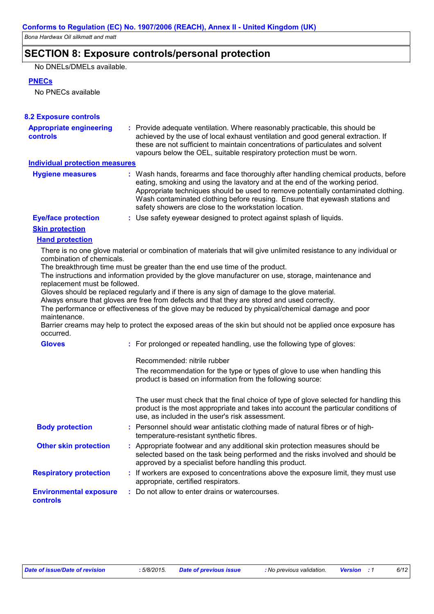## **SECTION 8: Exposure controls/personal protection**

No DNELs/DMELs available.

#### **PNECs**

No PNECs available

| <b>8.2 Exposure controls</b>                      |                                                                                                                                                                                                                                                                                                                                                                                                   |
|---------------------------------------------------|---------------------------------------------------------------------------------------------------------------------------------------------------------------------------------------------------------------------------------------------------------------------------------------------------------------------------------------------------------------------------------------------------|
| <b>Appropriate engineering</b><br><b>controls</b> | : Provide adequate ventilation. Where reasonably practicable, this should be<br>achieved by the use of local exhaust ventilation and good general extraction. If<br>these are not sufficient to maintain concentrations of particulates and solvent<br>vapours below the OEL, suitable respiratory protection must be worn.                                                                       |
| <b>Individual protection measures</b>             |                                                                                                                                                                                                                                                                                                                                                                                                   |
| <b>Hygiene measures</b>                           | : Wash hands, forearms and face thoroughly after handling chemical products, before<br>eating, smoking and using the lavatory and at the end of the working period.<br>Appropriate techniques should be used to remove potentially contaminated clothing.<br>Wash contaminated clothing before reusing. Ensure that eyewash stations and<br>safety showers are close to the workstation location. |
| <b>Eye/face protection</b>                        | : Use safety eyewear designed to protect against splash of liquids.                                                                                                                                                                                                                                                                                                                               |
| <b>Skin protection</b>                            |                                                                                                                                                                                                                                                                                                                                                                                                   |
| <b>Hand protection</b>                            |                                                                                                                                                                                                                                                                                                                                                                                                   |
| combination of chemicals.                         | There is no one glove material or combination of materials that will give unlimited resistance to any individual or                                                                                                                                                                                                                                                                               |
|                                                   | The breakthrough time must be greater than the end use time of the product.<br>The instructions and information provided by the glove manufacturer on use, storage, maintenance and                                                                                                                                                                                                               |
| replacement must be followed.                     |                                                                                                                                                                                                                                                                                                                                                                                                   |
|                                                   | Gloves should be replaced regularly and if there is any sign of damage to the glove material.                                                                                                                                                                                                                                                                                                     |
|                                                   | Always ensure that gloves are free from defects and that they are stored and used correctly.<br>The performance or effectiveness of the glove may be reduced by physical/chemical damage and poor                                                                                                                                                                                                 |
| maintenance.                                      |                                                                                                                                                                                                                                                                                                                                                                                                   |
| occurred.                                         | Barrier creams may help to protect the exposed areas of the skin but should not be applied once exposure has                                                                                                                                                                                                                                                                                      |
| <b>Gloves</b>                                     | : For prolonged or repeated handling, use the following type of gloves:                                                                                                                                                                                                                                                                                                                           |
|                                                   | Recommended: nitrile rubber                                                                                                                                                                                                                                                                                                                                                                       |
|                                                   | The recommendation for the type or types of glove to use when handling this<br>product is based on information from the following source:                                                                                                                                                                                                                                                         |
|                                                   | The user must check that the final choice of type of glove selected for handling this<br>product is the most appropriate and takes into account the particular conditions of<br>use, as included in the user's risk assessment.                                                                                                                                                                   |
| <b>Body protection</b>                            | : Personnel should wear antistatic clothing made of natural fibres or of high-<br>temperature-resistant synthetic fibres.                                                                                                                                                                                                                                                                         |
| <b>Other skin protection</b>                      | : Appropriate footwear and any additional skin protection measures should be<br>selected based on the task being performed and the risks involved and should be<br>approved by a specialist before handling this product.                                                                                                                                                                         |
| <b>Respiratory protection</b>                     | : If workers are exposed to concentrations above the exposure limit, they must use<br>appropriate, certified respirators.                                                                                                                                                                                                                                                                         |
| <b>Environmental exposure</b><br><b>controls</b>  | : Do not allow to enter drains or watercourses.                                                                                                                                                                                                                                                                                                                                                   |
|                                                   |                                                                                                                                                                                                                                                                                                                                                                                                   |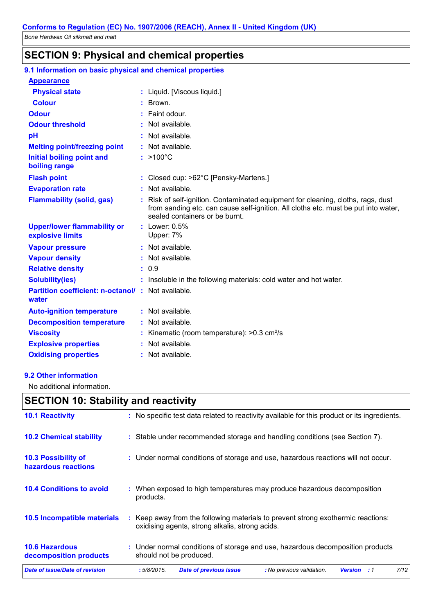### **SECTION 9: Physical and chemical properties**

| 9.1 Information on basic physical and chemical properties         |    |                                                                                                                                                                                                        |
|-------------------------------------------------------------------|----|--------------------------------------------------------------------------------------------------------------------------------------------------------------------------------------------------------|
| <b>Appearance</b>                                                 |    |                                                                                                                                                                                                        |
| <b>Physical state</b>                                             |    | : Liquid. [Viscous liquid.]                                                                                                                                                                            |
| <b>Colour</b>                                                     |    | Brown.                                                                                                                                                                                                 |
| <b>Odour</b>                                                      |    | Faint odour.                                                                                                                                                                                           |
| <b>Odour threshold</b>                                            |    | : Not available.                                                                                                                                                                                       |
| pH                                                                |    | Not available.                                                                                                                                                                                         |
| <b>Melting point/freezing point</b>                               |    | $:$ Not available.                                                                                                                                                                                     |
| Initial boiling point and<br>boiling range                        |    | $:$ >100 $^{\circ}$ C                                                                                                                                                                                  |
| <b>Flash point</b>                                                |    | : Closed cup: >62°C [Pensky-Martens.]                                                                                                                                                                  |
| <b>Evaporation rate</b>                                           |    | Not available.                                                                                                                                                                                         |
| <b>Flammability (solid, gas)</b>                                  | ÷. | Risk of self-ignition. Contaminated equipment for cleaning, cloths, rags, dust<br>from sanding etc. can cause self-ignition. All cloths etc. must be put into water,<br>sealed containers or be burnt. |
| <b>Upper/lower flammability or</b><br>explosive limits            |    | : Lower: $0.5\%$<br>Upper: 7%                                                                                                                                                                          |
| <b>Vapour pressure</b>                                            |    | : Not available.                                                                                                                                                                                       |
| <b>Vapour density</b>                                             |    | Not available.                                                                                                                                                                                         |
| <b>Relative density</b>                                           |    | : 0.9                                                                                                                                                                                                  |
| <b>Solubility(ies)</b>                                            |    | : Insoluble in the following materials: cold water and hot water.                                                                                                                                      |
| <b>Partition coefficient: n-octanol/: Not available.</b><br>water |    |                                                                                                                                                                                                        |
| <b>Auto-ignition temperature</b>                                  |    | $:$ Not available.                                                                                                                                                                                     |
| <b>Decomposition temperature</b>                                  |    | $:$ Not available.                                                                                                                                                                                     |
| <b>Viscosity</b>                                                  |    | Kinematic (room temperature): $>0.3$ cm <sup>2</sup> /s                                                                                                                                                |
| <b>Explosive properties</b>                                       |    | Not available.                                                                                                                                                                                         |
| <b>Oxidising properties</b>                                       |    | : Not available.                                                                                                                                                                                       |
|                                                                   |    |                                                                                                                                                                                                        |

#### **9.2 Other information**

No additional information.

## **SECTION 10: Stability and reactivity**

| Date of issue/Date of revision                  | 7/12<br>:5/8/2015.<br><b>Date of previous issue</b><br>: No previous validation.<br><b>Version</b><br>:1                            |
|-------------------------------------------------|-------------------------------------------------------------------------------------------------------------------------------------|
| <b>10.6 Hazardous</b><br>decomposition products | : Under normal conditions of storage and use, hazardous decomposition products<br>should not be produced.                           |
| <b>10.5 Incompatible materials</b>              | : Keep away from the following materials to prevent strong exothermic reactions:<br>oxidising agents, strong alkalis, strong acids. |
| <b>10.4 Conditions to avoid</b>                 | : When exposed to high temperatures may produce hazardous decomposition<br>products.                                                |
| 10.3 Possibility of<br>hazardous reactions      | : Under normal conditions of storage and use, hazardous reactions will not occur.                                                   |
| <b>10.2 Chemical stability</b>                  | : Stable under recommended storage and handling conditions (see Section 7).                                                         |
| <b>10.1 Reactivity</b>                          | : No specific test data related to reactivity available for this product or its ingredients.                                        |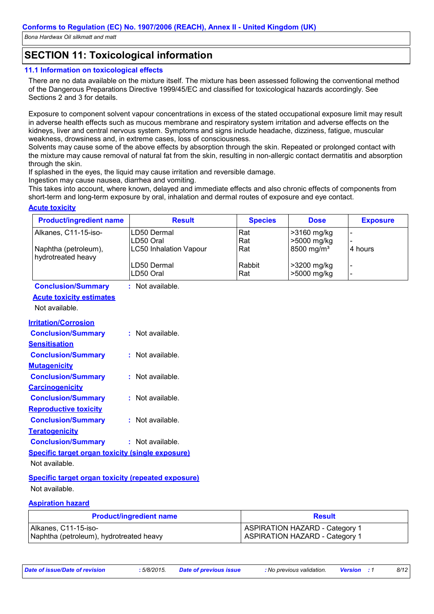## **SECTION 11: Toxicological information**

#### **11.1 Information on toxicological effects**

There are no data available on the mixture itself. The mixture has been assessed following the conventional method of the Dangerous Preparations Directive 1999/45/EC and classified for toxicological hazards accordingly. See Sections 2 and 3 for details.

Exposure to component solvent vapour concentrations in excess of the stated occupational exposure limit may result in adverse health effects such as mucous membrane and respiratory system irritation and adverse effects on the kidneys, liver and central nervous system. Symptoms and signs include headache, dizziness, fatigue, muscular weakness, drowsiness and, in extreme cases, loss of consciousness.

Solvents may cause some of the above effects by absorption through the skin. Repeated or prolonged contact with the mixture may cause removal of natural fat from the skin, resulting in non-allergic contact dermatitis and absorption through the skin.

If splashed in the eyes, the liquid may cause irritation and reversible damage.

Ingestion may cause nausea, diarrhea and vomiting.

This takes into account, where known, delayed and immediate effects and also chronic effects of components from short-term and long-term exposure by oral, inhalation and dermal routes of exposure and eye contact.

#### **Acute toxicity**

| <b>Product/ingredient name</b>                            | <b>Result</b>                  | <b>Species</b> | <b>Dose</b>            | <b>Exposure</b> |
|-----------------------------------------------------------|--------------------------------|----------------|------------------------|-----------------|
| Alkanes, C11-15-iso-                                      | LD50 Dermal                    | Rat            | >3160 mg/kg            |                 |
|                                                           | LD50 Oral                      | Rat            | >5000 mg/kg            |                 |
| Naphtha (petroleum),<br>hydrotreated heavy                | <b>LC50 Inhalation Vapour</b>  | Rat            | 8500 mg/m <sup>3</sup> | 4 hours         |
|                                                           | LD50 Dermal                    | Rabbit         | >3200 mg/kg            |                 |
|                                                           | LD50 Oral                      | Rat            | >5000 mg/kg            |                 |
| <b>Conclusion/Summary</b>                                 | : Not available.               |                |                        |                 |
| <b>Acute toxicity estimates</b>                           |                                |                |                        |                 |
| Not available.                                            |                                |                |                        |                 |
| <b>Irritation/Corrosion</b>                               |                                |                |                        |                 |
| <b>Conclusion/Summary</b>                                 | : Not available.               |                |                        |                 |
| <b>Sensitisation</b>                                      |                                |                |                        |                 |
| <b>Conclusion/Summary</b>                                 | $:$ Not available.             |                |                        |                 |
| <b>Mutagenicity</b>                                       |                                |                |                        |                 |
| <b>Conclusion/Summary</b>                                 | : Not available.               |                |                        |                 |
| <b>Carcinogenicity</b>                                    |                                |                |                        |                 |
| <b>Conclusion/Summary</b>                                 | : Not available.               |                |                        |                 |
| <b>Reproductive toxicity</b>                              |                                |                |                        |                 |
| <b>Conclusion/Summary</b>                                 | : Not available.               |                |                        |                 |
| <b>Teratogenicity</b>                                     |                                |                |                        |                 |
| <b>Conclusion/Summary</b>                                 | : Not available.               |                |                        |                 |
| <b>Specific target organ toxicity (single exposure)</b>   |                                |                |                        |                 |
| Not available.                                            |                                |                |                        |                 |
| <b>Specific target organ toxicity (repeated exposure)</b> |                                |                |                        |                 |
| Not available.                                            |                                |                |                        |                 |
| <b>Aspiration hazard</b>                                  |                                |                |                        |                 |
|                                                           | <b>Product/ingredient name</b> |                | <b>Result</b>          |                 |

| <b>I TURNADING CUICIT HAIRS</b>         | RGSUR                                 |
|-----------------------------------------|---------------------------------------|
| Alkanes, C11-15-iso-                    | ASPIRATION HAZARD - Category 1        |
| Naphtha (petroleum), hydrotreated heavy | <b>ASPIRATION HAZARD - Category 1</b> |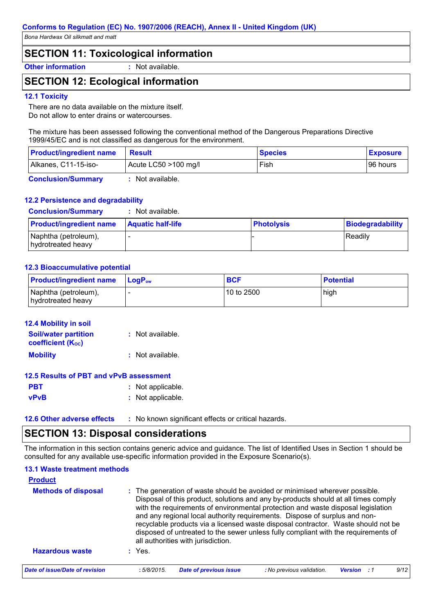## **SECTION 11: Toxicological information**

**Other information :** Not available.

## **SECTION 12: Ecological information**

#### **12.1 Toxicity**

There are no data available on the mixture itself. Do not allow to enter drains or watercourses.

The mixture has been assessed following the conventional method of the Dangerous Preparations Directive 1999/45/EC and is not classified as dangerous for the environment.

| <b>Product/ingredient name</b> | Result               | <b>Species</b> | <b>Exposure</b> |
|--------------------------------|----------------------|----------------|-----------------|
| Alkanes, C11-15-iso-           | Acute LC50 >100 mg/l | Fish           | 196 hours       |
|                                |                      |                |                 |

**Conclusion/Summary :** Not available.

#### **12.2 Persistence and degradability**

| <b>Conclusion/Summary</b>                  | : Not available.         |                   |                  |
|--------------------------------------------|--------------------------|-------------------|------------------|
| <b>Product/ingredient name</b>             | <b>Aquatic half-life</b> | <b>Photolysis</b> | Biodegradability |
| Naphtha (petroleum),<br>hydrotreated heavy |                          |                   | Readily          |

#### **12.3 Bioaccumulative potential**

| <b>Product/ingredient name</b>             | $ $ LogP <sub>ow</sub> | <b>BCF</b> | <b>Potential</b> |
|--------------------------------------------|------------------------|------------|------------------|
| Naphtha (petroleum),<br>hydrotreated heavy |                        | 10 to 2500 | high             |

| <b>12.4 Mobility in soil</b>                            |                    |
|---------------------------------------------------------|--------------------|
| <b>Soil/water partition</b><br><b>coefficient (Koc)</b> | : Not available.   |
| <b>Mobility</b>                                         | $:$ Not available. |

#### **12.5 Results of PBT and vPvB assessment**

| <b>PBT</b>  | : Not applicable. |
|-------------|-------------------|
| <b>vPvB</b> | : Not applicable. |

- 
- **12.6 Other adverse effects** : No known significant effects or critical hazards.

### **SECTION 13: Disposal considerations**

The information in this section contains generic advice and guidance. The list of Identified Uses in Section 1 should be consulted for any available use-specific information provided in the Exposure Scenario(s).

#### **13.1 Waste treatment methods**

| <b>Product</b><br><b>Methods of disposal</b> |           | : The generation of waste should be avoided or minimised wherever possible.<br>Disposal of this product, solutions and any by-products should at all times comply<br>with the requirements of environmental protection and waste disposal legislation<br>and any regional local authority requirements. Dispose of surplus and non-<br>recyclable products via a licensed waste disposal contractor. Waste should not be |                                                                                    |                    |  |      |  |  |
|----------------------------------------------|-----------|--------------------------------------------------------------------------------------------------------------------------------------------------------------------------------------------------------------------------------------------------------------------------------------------------------------------------------------------------------------------------------------------------------------------------|------------------------------------------------------------------------------------|--------------------|--|------|--|--|
|                                              |           | all authorities with jurisdiction.                                                                                                                                                                                                                                                                                                                                                                                       | disposed of untreated to the sewer unless fully compliant with the requirements of |                    |  |      |  |  |
| <b>Hazardous waste</b>                       | $:$ Yes.  |                                                                                                                                                                                                                                                                                                                                                                                                                          |                                                                                    |                    |  |      |  |  |
| Date of issue/Date of revision               | :5/8/2015 | <b>Date of previous issue</b>                                                                                                                                                                                                                                                                                                                                                                                            | : No previous validation.                                                          | <b>Version</b> : 1 |  | 9/12 |  |  |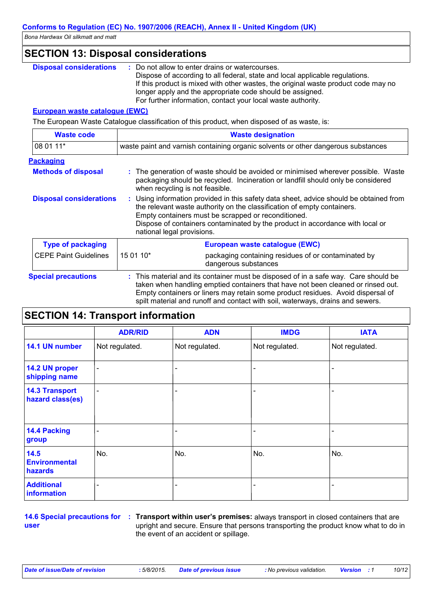### **SECTION 13: Disposal considerations**

| <b>Disposal considerations</b> | Do not allow to enter drains or watercourses.                                      |
|--------------------------------|------------------------------------------------------------------------------------|
|                                | Dispose of according to all federal, state and local applicable regulations.       |
|                                | If this product is mixed with other wastes, the original waste product code may no |
|                                | longer apply and the appropriate code should be assigned.                          |
|                                | For further information, contact your local waste authority.                       |

#### **European waste catalogue (EWC)**

The European Waste Catalogue classification of this product, when disposed of as waste, is:

| <b>Waste code</b>              | <b>Waste designation</b>                                                                                                                                                                                                                                                                                                                |                                                                                                                                                                                                                                                                                                                                              |  |
|--------------------------------|-----------------------------------------------------------------------------------------------------------------------------------------------------------------------------------------------------------------------------------------------------------------------------------------------------------------------------------------|----------------------------------------------------------------------------------------------------------------------------------------------------------------------------------------------------------------------------------------------------------------------------------------------------------------------------------------------|--|
| 08 01 11*                      | waste paint and varnish containing organic solvents or other dangerous substances                                                                                                                                                                                                                                                       |                                                                                                                                                                                                                                                                                                                                              |  |
| <b>Packaging</b>               |                                                                                                                                                                                                                                                                                                                                         |                                                                                                                                                                                                                                                                                                                                              |  |
| <b>Methods of disposal</b>     | when recycling is not feasible.                                                                                                                                                                                                                                                                                                         | : The generation of waste should be avoided or minimised wherever possible. Waste<br>packaging should be recycled. Incineration or landfill should only be considered                                                                                                                                                                        |  |
| <b>Disposal considerations</b> | : Using information provided in this safety data sheet, advice should be obtained from<br>the relevant waste authority on the classification of empty containers.<br>Empty containers must be scrapped or reconditioned.<br>Dispose of containers contaminated by the product in accordance with local or<br>national legal provisions. |                                                                                                                                                                                                                                                                                                                                              |  |
| <b>Type of packaging</b>       |                                                                                                                                                                                                                                                                                                                                         | European waste catalogue (EWC)                                                                                                                                                                                                                                                                                                               |  |
| <b>CEPE Paint Guidelines</b>   | 15 01 10*                                                                                                                                                                                                                                                                                                                               | packaging containing residues of or contaminated by<br>dangerous substances                                                                                                                                                                                                                                                                  |  |
| <b>Special precautions</b>     |                                                                                                                                                                                                                                                                                                                                         | : This material and its container must be disposed of in a safe way. Care should be<br>taken when handling emptied containers that have not been cleaned or rinsed out.<br>Empty containers or liners may retain some product residues. Avoid dispersal of<br>spilt material and runoff and contact with soil, waterways, drains and sewers. |  |

## **SECTION 14: Transport information**

|                                           | <b>ADR/RID</b>           | <b>ADN</b>               | <b>IMDG</b>    | <b>IATA</b>    |
|-------------------------------------------|--------------------------|--------------------------|----------------|----------------|
| 14.1 UN number                            | Not regulated.           | Not regulated.           | Not regulated. | Not regulated. |
| 14.2 UN proper<br>shipping name           | $\qquad \qquad$          | ۰                        |                |                |
| <b>14.3 Transport</b><br>hazard class(es) | $\overline{\phantom{0}}$ | $\overline{\phantom{0}}$ |                |                |
| 14.4 Packing<br>group                     |                          |                          |                |                |
| 14.5<br><b>Environmental</b><br>hazards   | No.                      | No.                      | No.            | No.            |
| <b>Additional</b><br>information          |                          |                          |                |                |

## **user**

**14.6 Special precautions for : Transport within user's premises: always transport in closed containers that are** upright and secure. Ensure that persons transporting the product know what to do in the event of an accident or spillage.

*Date of issue/Date of revision* **:** *5/8/2015. Date of previous issue : No previous validation. Version : 1 10/12*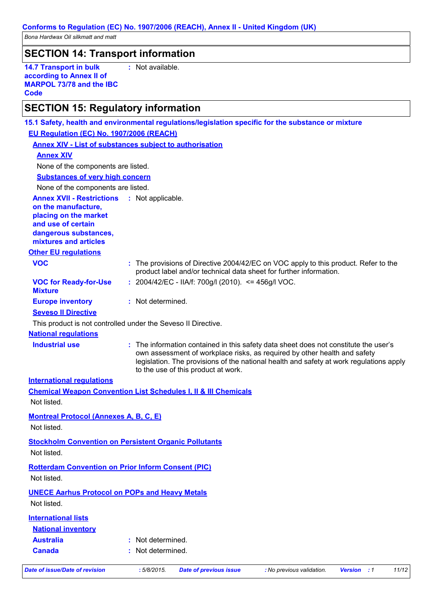## **SECTION 14: Transport information**

**14.7 Transport in bulk according to Annex II of MARPOL 73/78 and the IBC Code**

**:** Not available.

# **SECTION 15: Regulatory information**

| 15.1 Safety, health and environmental regulations/legislation specific for the substance or mixture |                   |                                                        |                                                                                                                                                                                                                                                              |                    |       |
|-----------------------------------------------------------------------------------------------------|-------------------|--------------------------------------------------------|--------------------------------------------------------------------------------------------------------------------------------------------------------------------------------------------------------------------------------------------------------------|--------------------|-------|
| EU Regulation (EC) No. 1907/2006 (REACH)                                                            |                   |                                                        |                                                                                                                                                                                                                                                              |                    |       |
| <b>Annex XIV - List of substances subject to authorisation</b>                                      |                   |                                                        |                                                                                                                                                                                                                                                              |                    |       |
| <b>Annex XIV</b>                                                                                    |                   |                                                        |                                                                                                                                                                                                                                                              |                    |       |
| None of the components are listed.                                                                  |                   |                                                        |                                                                                                                                                                                                                                                              |                    |       |
| <b>Substances of very high concern</b>                                                              |                   |                                                        |                                                                                                                                                                                                                                                              |                    |       |
| None of the components are listed.                                                                  |                   |                                                        |                                                                                                                                                                                                                                                              |                    |       |
| <b>Annex XVII - Restrictions : Not applicable.</b>                                                  |                   |                                                        |                                                                                                                                                                                                                                                              |                    |       |
| on the manufacture,<br>placing on the market                                                        |                   |                                                        |                                                                                                                                                                                                                                                              |                    |       |
| and use of certain                                                                                  |                   |                                                        |                                                                                                                                                                                                                                                              |                    |       |
| dangerous substances,                                                                               |                   |                                                        |                                                                                                                                                                                                                                                              |                    |       |
| mixtures and articles                                                                               |                   |                                                        |                                                                                                                                                                                                                                                              |                    |       |
| <b>Other EU regulations</b>                                                                         |                   |                                                        |                                                                                                                                                                                                                                                              |                    |       |
| <b>VOC</b>                                                                                          |                   |                                                        | : The provisions of Directive 2004/42/EC on VOC apply to this product. Refer to the                                                                                                                                                                          |                    |       |
|                                                                                                     |                   |                                                        | product label and/or technical data sheet for further information.                                                                                                                                                                                           |                    |       |
| <b>VOC for Ready-for-Use</b><br><b>Mixture</b>                                                      |                   | : $2004/42/EC - IIA/f: 700g/l (2010). \le 456g/l VOC.$ |                                                                                                                                                                                                                                                              |                    |       |
| <b>Europe inventory</b>                                                                             | : Not determined. |                                                        |                                                                                                                                                                                                                                                              |                    |       |
| <b>Seveso II Directive</b>                                                                          |                   |                                                        |                                                                                                                                                                                                                                                              |                    |       |
| This product is not controlled under the Seveso II Directive.                                       |                   |                                                        |                                                                                                                                                                                                                                                              |                    |       |
| <b>National requlations</b>                                                                         |                   |                                                        |                                                                                                                                                                                                                                                              |                    |       |
| <b>Industrial use</b>                                                                               |                   | to the use of this product at work.                    | : The information contained in this safety data sheet does not constitute the user's<br>own assessment of workplace risks, as required by other health and safety<br>legislation. The provisions of the national health and safety at work regulations apply |                    |       |
| <b>International regulations</b>                                                                    |                   |                                                        |                                                                                                                                                                                                                                                              |                    |       |
| <b>Chemical Weapon Convention List Schedules I, II &amp; III Chemicals</b>                          |                   |                                                        |                                                                                                                                                                                                                                                              |                    |       |
| Not listed.                                                                                         |                   |                                                        |                                                                                                                                                                                                                                                              |                    |       |
|                                                                                                     |                   |                                                        |                                                                                                                                                                                                                                                              |                    |       |
| <b>Montreal Protocol (Annexes A, B, C, E)</b>                                                       |                   |                                                        |                                                                                                                                                                                                                                                              |                    |       |
| Not listed.                                                                                         |                   |                                                        |                                                                                                                                                                                                                                                              |                    |       |
| <b>Stockholm Convention on Persistent Organic Pollutants</b>                                        |                   |                                                        |                                                                                                                                                                                                                                                              |                    |       |
| Not listed.                                                                                         |                   |                                                        |                                                                                                                                                                                                                                                              |                    |       |
| <b>Rotterdam Convention on Prior Inform Consent (PIC)</b>                                           |                   |                                                        |                                                                                                                                                                                                                                                              |                    |       |
| Not listed.                                                                                         |                   |                                                        |                                                                                                                                                                                                                                                              |                    |       |
|                                                                                                     |                   |                                                        |                                                                                                                                                                                                                                                              |                    |       |
| <b>UNECE Aarhus Protocol on POPs and Heavy Metals</b>                                               |                   |                                                        |                                                                                                                                                                                                                                                              |                    |       |
| Not listed.                                                                                         |                   |                                                        |                                                                                                                                                                                                                                                              |                    |       |
| <b>International lists</b>                                                                          |                   |                                                        |                                                                                                                                                                                                                                                              |                    |       |
| <b>National inventory</b>                                                                           |                   |                                                        |                                                                                                                                                                                                                                                              |                    |       |
| <b>Australia</b>                                                                                    | Not determined.   |                                                        |                                                                                                                                                                                                                                                              |                    |       |
| <b>Canada</b>                                                                                       | Not determined.   |                                                        |                                                                                                                                                                                                                                                              |                    |       |
|                                                                                                     |                   |                                                        |                                                                                                                                                                                                                                                              |                    |       |
| <b>Date of issue/Date of revision</b>                                                               | :5/8/2015.        | <b>Date of previous issue</b>                          | : No previous validation.                                                                                                                                                                                                                                    | <b>Version</b> : 1 | 11/12 |